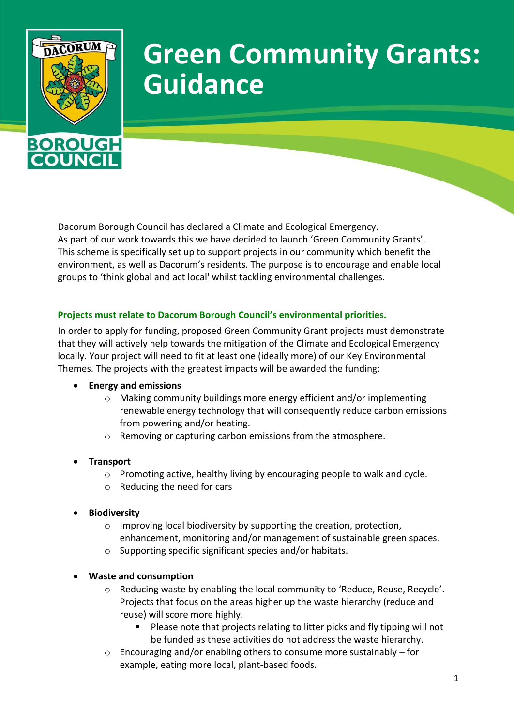

# **Green Community Grants: Guidance**

Dacorum Borough Council has declared a Climate and Ecological Emergency. As part of our work towards this we have decided to launch 'Green Community Grants'. This scheme is specifically set up to support projects in our community which benefit the environment, as well as Dacorum's residents. The purpose is to encourage and enable local groups to 'think global and act local' whilst tackling environmental challenges.

## **Projects must relate to Dacorum Borough Council's environmental priorities.**

In order to apply for funding, proposed Green Community Grant projects must demonstrate that they will actively help towards the mitigation of the Climate and Ecological Emergency locally. Your project will need to fit at least one (ideally more) of our Key Environmental Themes. The projects with the greatest impacts will be awarded the funding:

## **Energy and emissions**

- o Making community buildings more energy efficient and/or implementing renewable energy technology that will consequently reduce carbon emissions from powering and/or heating.
- o Removing or capturing carbon emissions from the atmosphere.
- **Transport**
	- o Promoting active, healthy living by encouraging people to walk and cycle.
	- o Reducing the need for cars
- **Biodiversity**
	- o Improving local biodiversity by supporting the creation, protection, enhancement, monitoring and/or management of sustainable green spaces.
	- o Supporting specific significant species and/or habitats.
- **Waste and consumption**
	- o Reducing waste by enabling the local community to 'Reduce, Reuse, Recycle'. Projects that focus on the areas higher up the waste hierarchy (reduce and reuse) will score more highly.
		- Please note that projects relating to litter picks and fly tipping will not be funded as these activities do not address the waste hierarchy.
	- $\circ$  Encouraging and/or enabling others to consume more sustainably for example, eating more local, plant-based foods.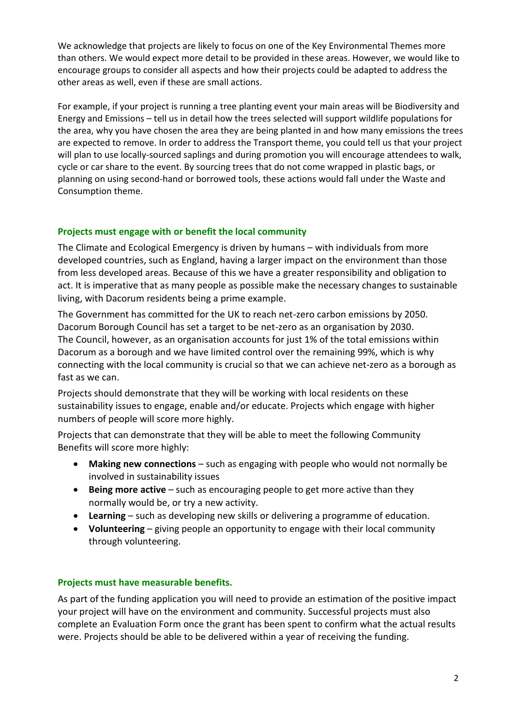We acknowledge that projects are likely to focus on one of the Key Environmental Themes more than others. We would expect more detail to be provided in these areas. However, we would like to encourage groups to consider all aspects and how their projects could be adapted to address the other areas as well, even if these are small actions.

For example, if your project is running a tree planting event your main areas will be Biodiversity and Energy and Emissions – tell us in detail how the trees selected will support wildlife populations for the area, why you have chosen the area they are being planted in and how many emissions the trees are expected to remove. In order to address the Transport theme, you could tell us that your project will plan to use locally-sourced saplings and during promotion you will encourage attendees to walk, cycle or car share to the event. By sourcing trees that do not come wrapped in plastic bags, or planning on using second-hand or borrowed tools, these actions would fall under the Waste and Consumption theme.

# **Projects must engage with or benefit the local community**

The Climate and Ecological Emergency is driven by humans – with individuals from more developed countries, such as England, having a larger impact on the environment than those from less developed areas. Because of this we have a greater responsibility and obligation to act. It is imperative that as many people as possible make the necessary changes to sustainable living, with Dacorum residents being a prime example.

The Government has committed for the UK to reach net-zero carbon emissions by 2050. Dacorum Borough Council has set a target to be net-zero as an organisation by 2030. The Council, however, as an organisation accounts for just 1% of the total emissions within Dacorum as a borough and we have limited control over the remaining 99%, which is why connecting with the local community is crucial so that we can achieve net-zero as a borough as fast as we can.

Projects should demonstrate that they will be working with local residents on these sustainability issues to engage, enable and/or educate. Projects which engage with higher numbers of people will score more highly.

Projects that can demonstrate that they will be able to meet the following Community Benefits will score more highly:

- **Making new connections**  such as engaging with people who would not normally be involved in sustainability issues
- **Being more active** such as encouraging people to get more active than they normally would be, or try a new activity.
- **Learning**  such as developing new skills or delivering a programme of education.
- **Volunteering**  giving people an opportunity to engage with their local community through volunteering.

# **Projects must have measurable benefits.**

As part of the funding application you will need to provide an estimation of the positive impact your project will have on the environment and community. Successful projects must also complete an Evaluation Form once the grant has been spent to confirm what the actual results were. Projects should be able to be delivered within a year of receiving the funding.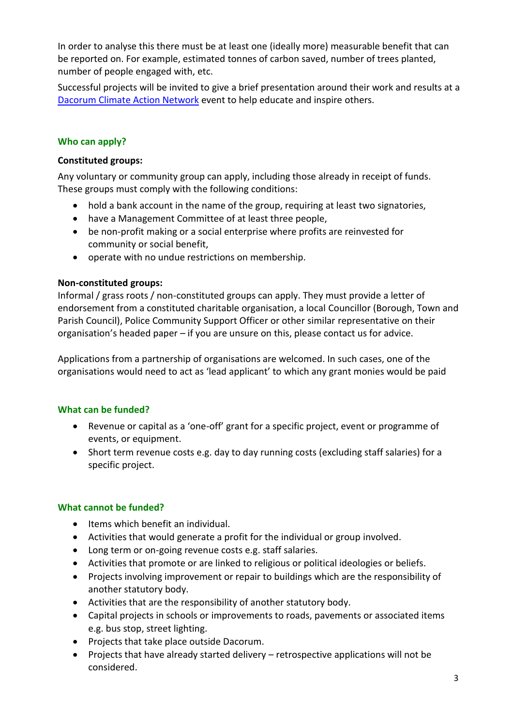In order to analyse this there must be at least one (ideally more) measurable benefit that can be reported on. For example, estimated tonnes of carbon saved, number of trees planted, number of people engaged with, etc.

Successful projects will be invited to give a brief presentation around their work and results at a [Dacorum Climate Action Network](http://www.dacorum.gov.uk/dacorumcan) event to help educate and inspire others.

# **Who can apply?**

## **Constituted groups:**

Any voluntary or community group can apply, including those already in receipt of funds. These groups must comply with the following conditions:

- hold a bank account in the name of the group, requiring at least two signatories,
- have a Management Committee of at least three people,
- be non-profit making or a social enterprise where profits are reinvested for community or social benefit,
- operate with no undue restrictions on membership.

## **Non-constituted groups:**

Informal / grass roots / non-constituted groups can apply. They must provide a letter of endorsement from a constituted charitable organisation, a local Councillor (Borough, Town and Parish Council), Police Community Support Officer or other similar representative on their organisation's headed paper – if you are unsure on this, please contact us for advice.

Applications from a partnership of organisations are welcomed. In such cases, one of the organisations would need to act as 'lead applicant' to which any grant monies would be paid

## **What can be funded?**

- Revenue or capital as a 'one-off' grant for a specific project, event or programme of events, or equipment.
- Short term revenue costs e.g. day to day running costs (excluding staff salaries) for a specific project.

## **What cannot be funded?**

- Items which benefit an individual.
- Activities that would generate a profit for the individual or group involved.
- Long term or on-going revenue costs e.g. staff salaries.
- Activities that promote or are linked to religious or political ideologies or beliefs.
- Projects involving improvement or repair to buildings which are the responsibility of another statutory body.
- Activities that are the responsibility of another statutory body.
- Capital projects in schools or improvements to roads, pavements or associated items e.g. bus stop, street lighting.
- Projects that take place outside Dacorum.
- Projects that have already started delivery retrospective applications will not be considered.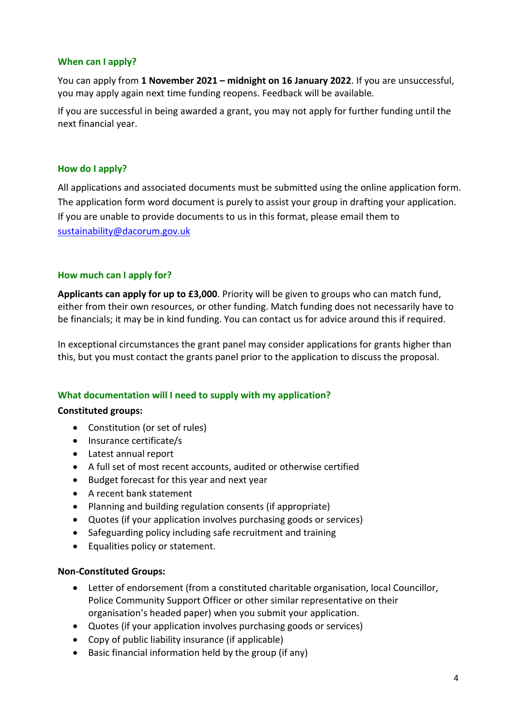# **When can I apply?**

You can apply from **1 November 2021 – midnight on 16 January 2022**. If you are unsuccessful, you may apply again next time funding reopens. Feedback will be available.

If you are successful in being awarded a grant, you may not apply for further funding until the next financial year.

## **How do I apply?**

All applications and associated documents must be submitted using the online application form. The application form word document is purely to assist your group in drafting your application. If you are unable to provide documents to us in this format, please email them to [sustainability@dacorum.gov.uk](mailto:sustainability@dacorum.gov.uk)

# **How much can I apply for?**

**Applicants can apply for up to £3,000**. Priority will be given to groups who can match fund, either from their own resources, or other funding. Match funding does not necessarily have to be financials; it may be in kind funding. You can contact us for advice around this if required.

In exceptional circumstances the grant panel may consider applications for grants higher than this, but you must contact the grants panel prior to the application to discuss the proposal.

## **What documentation will I need to supply with my application?**

## **Constituted groups:**

- Constitution (or set of rules)
- Insurance certificate/s
- Latest annual report
- A full set of most recent accounts, audited or otherwise certified
- Budget forecast for this year and next year
- A recent bank statement
- Planning and building regulation consents (if appropriate)
- Quotes (if your application involves purchasing goods or services)
- Safeguarding policy including safe recruitment and training
- Equalities policy or statement.

## **Non-Constituted Groups:**

- Letter of endorsement (from a constituted charitable organisation, local Councillor, Police Community Support Officer or other similar representative on their organisation's headed paper) when you submit your application.
- Quotes (if your application involves purchasing goods or services)
- Copy of public liability insurance (if applicable)
- Basic financial information held by the group (if any)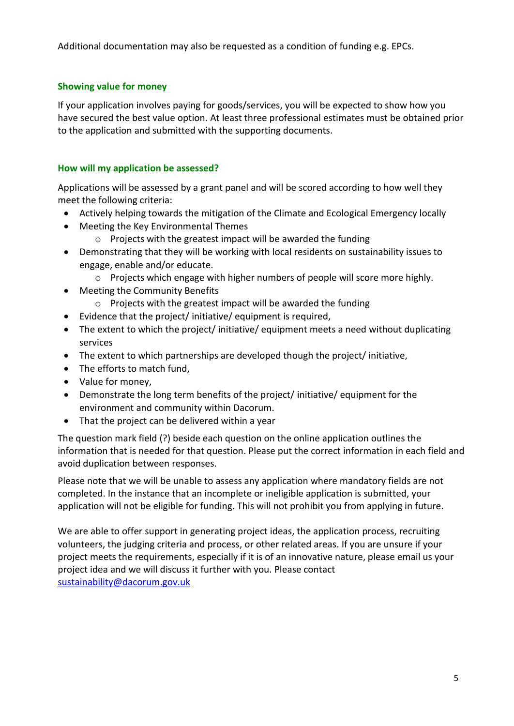Additional documentation may also be requested as a condition of funding e.g. EPCs.

# **Showing value for money**

If your application involves paying for goods/services, you will be expected to show how you have secured the best value option. At least three professional estimates must be obtained prior to the application and submitted with the supporting documents.

# **How will my application be assessed?**

Applications will be assessed by a grant panel and will be scored according to how well they meet the following criteria:

- Actively helping towards the mitigation of the Climate and Ecological Emergency locally
- Meeting the Key Environmental Themes
	- $\circ$  Projects with the greatest impact will be awarded the funding
- Demonstrating that they will be working with local residents on sustainability issues to engage, enable and/or educate.
	- o Projects which engage with higher numbers of people will score more highly.
- Meeting the Community Benefits
	- o Projects with the greatest impact will be awarded the funding
- Evidence that the project/ initiative/ equipment is required,
- The extent to which the project/ initiative/ equipment meets a need without duplicating services
- The extent to which partnerships are developed though the project/ initiative,
- The efforts to match fund,
- Value for money,
- Demonstrate the long term benefits of the project/ initiative/ equipment for the environment and community within Dacorum.
- That the project can be delivered within a year

The question mark field (?) beside each question on the online application outlines the information that is needed for that question. Please put the correct information in each field and avoid duplication between responses.

Please note that we will be unable to assess any application where mandatory fields are not completed. In the instance that an incomplete or ineligible application is submitted, your application will not be eligible for funding. This will not prohibit you from applying in future.

We are able to offer support in generating project ideas, the application process, recruiting volunteers, the judging criteria and process, or other related areas. If you are unsure if your project meets the requirements, especially if it is of an innovative nature, please email us your project idea and we will discuss it further with you. Please contact [sustainability@dacorum.gov.uk](mailto:sustainability@dacorum.gov.uk)